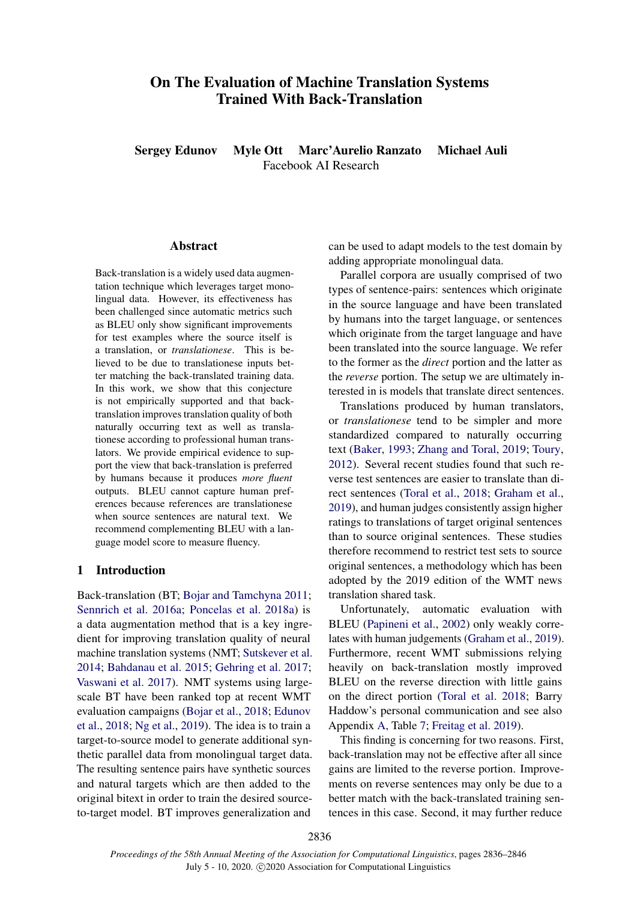# On The Evaluation of Machine Translation Systems Trained With Back-Translation

Sergey Edunov Myle Ott Marc'Aurelio Ranzato Michael Auli Facebook AI Research

### Abstract

Back-translation is a widely used data augmentation technique which leverages target monolingual data. However, its effectiveness has been challenged since automatic metrics such as BLEU only show significant improvements for test examples where the source itself is a translation, or *translationese*. This is believed to be due to translationese inputs better matching the back-translated training data. In this work, we show that this conjecture is not empirically supported and that backtranslation improves translation quality of both naturally occurring text as well as translationese according to professional human translators. We provide empirical evidence to support the view that back-translation is preferred by humans because it produces *more fluent* outputs. BLEU cannot capture human preferences because references are translationese when source sentences are natural text. We recommend complementing BLEU with a language model score to measure fluency.

# 1 Introduction

Back-translation (BT; [Bojar and Tamchyna](#page-7-0) [2011;](#page-7-0) [Sennrich et al.](#page-8-0) [2016a;](#page-8-0) [Poncelas et al.](#page-7-1) [2018a\)](#page-7-1) is a data augmentation method that is a key ingredient for improving translation quality of neural machine translation systems (NMT; [Sutskever et al.](#page-8-1) [2014;](#page-8-1) [Bahdanau et al.](#page-7-2) [2015;](#page-7-2) [Gehring et al.](#page-7-3) [2017;](#page-7-3) [Vaswani et al.](#page-8-2) [2017\)](#page-8-2). NMT systems using largescale BT have been ranked top at recent WMT evaluation campaigns [\(Bojar et al.,](#page-7-4) [2018;](#page-7-4) [Edunov](#page-7-5) [et al.,](#page-7-5) [2018;](#page-7-5) [Ng et al.,](#page-7-6) [2019\)](#page-7-6). The idea is to train a target-to-source model to generate additional synthetic parallel data from monolingual target data. The resulting sentence pairs have synthetic sources and natural targets which are then added to the original bitext in order to train the desired sourceto-target model. BT improves generalization and

can be used to adapt models to the test domain by adding appropriate monolingual data.

Parallel corpora are usually comprised of two types of sentence-pairs: sentences which originate in the source language and have been translated by humans into the target language, or sentences which originate from the target language and have been translated into the source language. We refer to the former as the *direct* portion and the latter as the *reverse* portion. The setup we are ultimately interested in is models that translate direct sentences.

Translations produced by human translators, or *translationese* tend to be simpler and more standardized compared to naturally occurring text [\(Baker,](#page-7-7) [1993;](#page-7-7) [Zhang and Toral,](#page-8-3) [2019;](#page-8-3) [Toury,](#page-8-4) [2012\)](#page-8-4). Several recent studies found that such reverse test sentences are easier to translate than direct sentences [\(Toral et al.,](#page-8-5) [2018;](#page-8-5) [Graham et al.,](#page-7-8) [2019\)](#page-7-8), and human judges consistently assign higher ratings to translations of target original sentences than to source original sentences. These studies therefore recommend to restrict test sets to source original sentences, a methodology which has been adopted by the 2019 edition of the WMT news translation shared task.

Unfortunately, automatic evaluation with BLEU [\(Papineni et al.,](#page-7-9) [2002\)](#page-7-9) only weakly correlates with human judgements [\(Graham et al.,](#page-7-8) [2019\)](#page-7-8). Furthermore, recent WMT submissions relying heavily on back-translation mostly improved BLEU on the reverse direction with little gains on the direct portion [\(Toral et al.](#page-8-5) [2018;](#page-8-5) Barry Haddow's personal communication and see also Appendix [A,](#page-9-0) Table [7;](#page-9-1) [Freitag et al.](#page-7-10) [2019\)](#page-7-10).

This finding is concerning for two reasons. First, back-translation may not be effective after all since gains are limited to the reverse portion. Improvements on reverse sentences may only be due to a better match with the back-translated training sentences in this case. Second, it may further reduce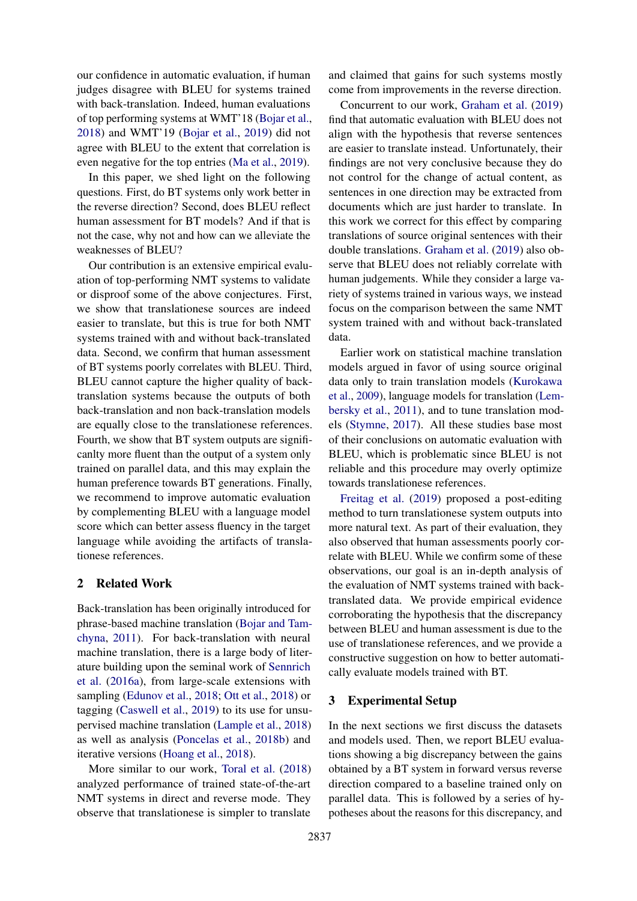our confidence in automatic evaluation, if human judges disagree with BLEU for systems trained with back-translation. Indeed, human evaluations of top performing systems at WMT'18 [\(Bojar et al.,](#page-7-4) [2018\)](#page-7-4) and WMT'19 [\(Bojar et al.,](#page-7-11) [2019\)](#page-7-11) did not agree with BLEU to the extent that correlation is even negative for the top entries [\(Ma et al.,](#page-7-12) [2019\)](#page-7-12).

In this paper, we shed light on the following questions. First, do BT systems only work better in the reverse direction? Second, does BLEU reflect human assessment for BT models? And if that is not the case, why not and how can we alleviate the weaknesses of BLEU?

Our contribution is an extensive empirical evaluation of top-performing NMT systems to validate or disproof some of the above conjectures. First, we show that translationese sources are indeed easier to translate, but this is true for both NMT systems trained with and without back-translated data. Second, we confirm that human assessment of BT systems poorly correlates with BLEU. Third, BLEU cannot capture the higher quality of backtranslation systems because the outputs of both back-translation and non back-translation models are equally close to the translationese references. Fourth, we show that BT system outputs are significanlty more fluent than the output of a system only trained on parallel data, and this may explain the human preference towards BT generations. Finally, we recommend to improve automatic evaluation by complementing BLEU with a language model score which can better assess fluency in the target language while avoiding the artifacts of translationese references.

# 2 Related Work

Back-translation has been originally introduced for phrase-based machine translation [\(Bojar and Tam](#page-7-0)[chyna,](#page-7-0) [2011\)](#page-7-0). For back-translation with neural machine translation, there is a large body of literature building upon the seminal work of [Sennrich](#page-8-0) [et al.](#page-8-0) [\(2016a\)](#page-8-0), from large-scale extensions with sampling [\(Edunov et al.,](#page-7-5) [2018;](#page-7-5) [Ott et al.,](#page-7-13) [2018\)](#page-7-13) or tagging [\(Caswell et al.,](#page-7-14) [2019\)](#page-7-14) to its use for unsupervised machine translation [\(Lample et al.,](#page-7-15) [2018\)](#page-7-15) as well as analysis [\(Poncelas et al.,](#page-8-6) [2018b\)](#page-8-6) and iterative versions [\(Hoang et al.,](#page-7-16) [2018\)](#page-7-16).

More similar to our work, [Toral et al.](#page-8-5) [\(2018\)](#page-8-5) analyzed performance of trained state-of-the-art NMT systems in direct and reverse mode. They observe that translationese is simpler to translate

and claimed that gains for such systems mostly come from improvements in the reverse direction.

Concurrent to our work, [Graham et al.](#page-7-8) [\(2019\)](#page-7-8) find that automatic evaluation with BLEU does not align with the hypothesis that reverse sentences are easier to translate instead. Unfortunately, their findings are not very conclusive because they do not control for the change of actual content, as sentences in one direction may be extracted from documents which are just harder to translate. In this work we correct for this effect by comparing translations of source original sentences with their double translations. [Graham et al.](#page-7-8) [\(2019\)](#page-7-8) also observe that BLEU does not reliably correlate with human judgements. While they consider a large variety of systems trained in various ways, we instead focus on the comparison between the same NMT system trained with and without back-translated data.

Earlier work on statistical machine translation models argued in favor of using source original data only to train translation models [\(Kurokawa](#page-7-17) [et al.,](#page-7-17) [2009\)](#page-7-17), language models for translation [\(Lem](#page-7-18)[bersky et al.,](#page-7-18) [2011\)](#page-7-18), and to tune translation models [\(Stymne,](#page-8-7) [2017\)](#page-8-7). All these studies base most of their conclusions on automatic evaluation with BLEU, which is problematic since BLEU is not reliable and this procedure may overly optimize towards translationese references.

[Freitag et al.](#page-7-10) [\(2019\)](#page-7-10) proposed a post-editing method to turn translationese system outputs into more natural text. As part of their evaluation, they also observed that human assessments poorly correlate with BLEU. While we confirm some of these observations, our goal is an in-depth analysis of the evaluation of NMT systems trained with backtranslated data. We provide empirical evidence corroborating the hypothesis that the discrepancy between BLEU and human assessment is due to the use of translationese references, and we provide a constructive suggestion on how to better automatically evaluate models trained with BT.

# <span id="page-1-0"></span>3 Experimental Setup

In the next sections we first discuss the datasets and models used. Then, we report BLEU evaluations showing a big discrepancy between the gains obtained by a BT system in forward versus reverse direction compared to a baseline trained only on parallel data. This is followed by a series of hypotheses about the reasons for this discrepancy, and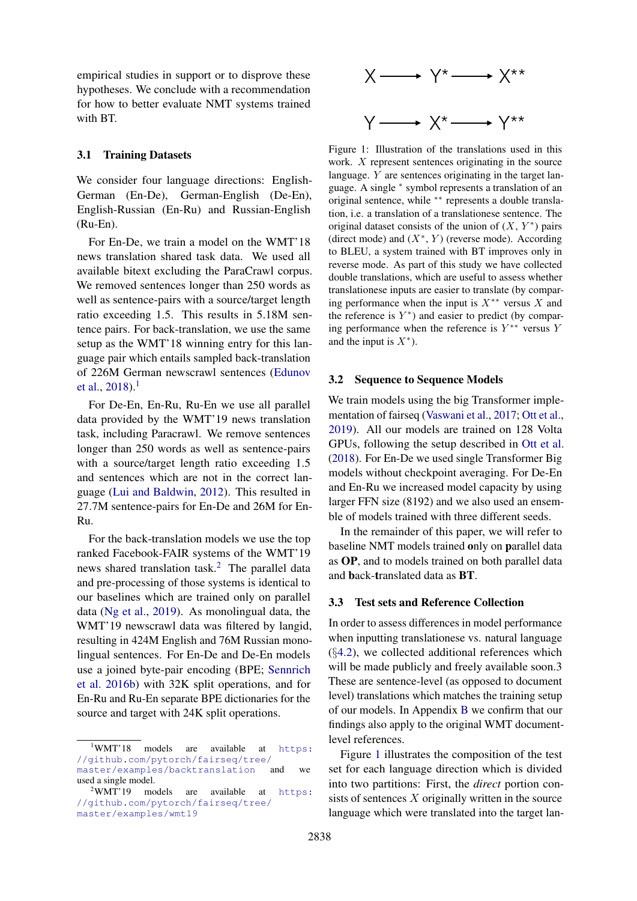empirical studies in support or to disprove these hypotheses. We conclude with a recommendation for how to better evaluate NMT systems trained with BT.

### 3.1 Training Datasets

We consider four language directions: English-German (En-De), German-English (De-En), English-Russian (En-Ru) and Russian-English (Ru-En).

For En-De, we train a model on the WMT'18 news translation shared task data. We used all available bitext excluding the ParaCrawl corpus. We removed sentences longer than 250 words as well as sentence-pairs with a source/target length ratio exceeding 1.5. This results in 5.18M sentence pairs. For back-translation, we use the same setup as the WMT'18 winning entry for this language pair which entails sampled back-translation of 226M German newscrawl sentences [\(Edunov](#page-7-5) [et al.,](#page-7-5)  $2018$  $2018$  $2018$ ).<sup>1</sup>

For De-En, En-Ru, Ru-En we use all parallel data provided by the WMT'19 news translation task, including Paracrawl. We remove sentences longer than 250 words as well as sentence-pairs with a source/target length ratio exceeding 1.5 and sentences which are not in the correct language [\(Lui and Baldwin,](#page-7-19) [2012\)](#page-7-19). This resulted in 27.7M sentence-pairs for En-De and 26M for En-Ru.

For the back-translation models we use the top ranked Facebook-FAIR systems of the WMT'19 news shared translation task.<sup>[2](#page-2-1)</sup> The parallel data and pre-processing of those systems is identical to our baselines which are trained only on parallel data [\(Ng et al.,](#page-7-6) [2019\)](#page-7-6). As monolingual data, the WMT'19 newscrawl data was filtered by langid, resulting in 424M English and 76M Russian monolingual sentences. For En-De and De-En models use a joined byte-pair encoding (BPE; [Sennrich](#page-8-8) [et al.](#page-8-8) [2016b\)](#page-8-8) with 32K split operations, and for En-Ru and Ru-En separate BPE dictionaries for the source and target with 24K split operations.

<span id="page-2-2"></span>

Figure 1: Illustration of the translations used in this work.  $X$  represent sentences originating in the source language. Y are sentences originating in the target language. A single <sup>∗</sup> symbol represents a translation of an original sentence, while ∗∗ represents a double translation, i.e. a translation of a translationese sentence. The original dataset consists of the union of  $(X, Y^*)$  pairs (direct mode) and  $(X^*, Y)$  (reverse mode). According to BLEU, a system trained with BT improves only in reverse mode. As part of this study we have collected double translations, which are useful to assess whether translationese inputs are easier to translate (by comparing performance when the input is  $X^{**}$  versus X and the reference is  $Y^*$ ) and easier to predict (by comparing performance when the reference is  $Y^{**}$  versus Y and the input is  $X^*$ ).

### 3.2 Sequence to Sequence Models

We train models using the big Transformer implementation of fairseq [\(Vaswani et al.,](#page-8-2) [2017;](#page-8-2) [Ott et al.,](#page-7-20) [2019\)](#page-7-20). All our models are trained on 128 Volta GPUs, following the setup described in [Ott et al.](#page-7-13) [\(2018\)](#page-7-13). For En-De we used single Transformer Big models without checkpoint averaging. For De-En and En-Ru we increased model capacity by using larger FFN size (8192) and we also used an ensemble of models trained with three different seeds.

In the remainder of this paper, we will refer to baseline NMT models trained only on parallel data as OP, and to models trained on both parallel data and back-translated data as BT.

### <span id="page-2-3"></span>3.3 Test sets and Reference Collection

In order to assess differences in model performance when inputting translationese vs. natural language  $(\S4.2)$  $(\S4.2)$ , we collected additional references which will be made publicly and freely available soon.3 These are sentence-level (as opposed to document level) translations which matches the training setup of our models. In Appendix [B](#page-9-2) we confirm that our findings also apply to the original WMT documentlevel references.

Figure [1](#page-2-2) illustrates the composition of the test set for each language direction which is divided into two partitions: First, the *direct* portion consists of sentences  $X$  originally written in the source language which were translated into the target lan-

<span id="page-2-0"></span><sup>&</sup>lt;sup>1</sup>WMT'18 models are available at [https:](https://github.com/pytorch/fairseq/tree/master/examples/backtranslation) [//github.com/pytorch/fairseq/tree/](https://github.com/pytorch/fairseq/tree/master/examples/backtranslation) [master/examples/backtranslation](https://github.com/pytorch/fairseq/tree/master/examples/backtranslation) and we used a single model.

<span id="page-2-1"></span><sup>&</sup>lt;sup>2</sup>WMT'19 models are available at [https:](https://github.com/pytorch/fairseq/tree/master/examples/wmt19) [//github.com/pytorch/fairseq/tree/](https://github.com/pytorch/fairseq/tree/master/examples/wmt19) [master/examples/wmt19](https://github.com/pytorch/fairseq/tree/master/examples/wmt19)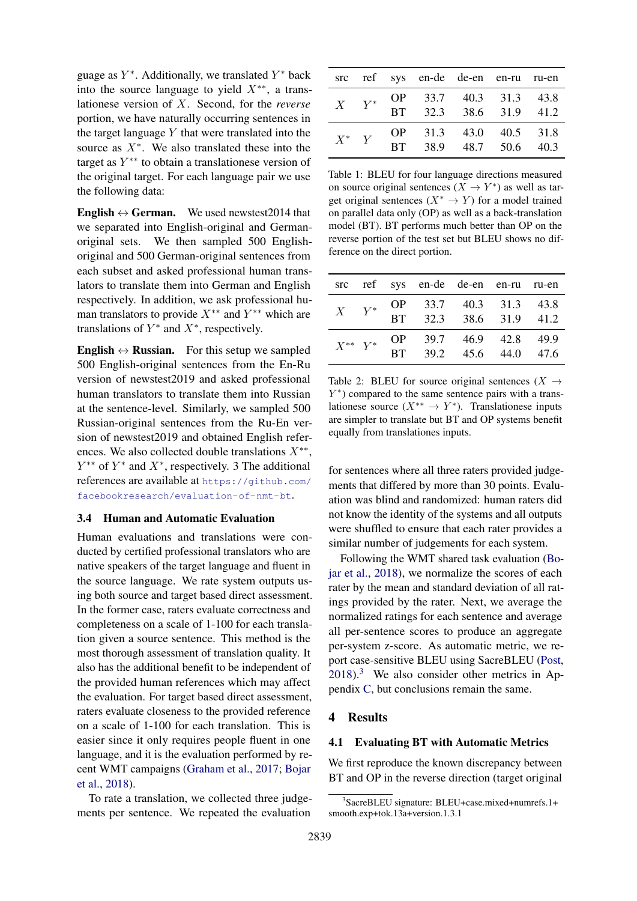guage as  $Y^*$ . Additionally, we translated  $Y^*$  back into the source language to yield  $X^{**}$ , a translationese version of X. Second, for the *reverse* portion, we have naturally occurring sentences in the target language  $Y$  that were translated into the source as  $X^*$ . We also translated these into the target as  $Y^{**}$  to obtain a translationese version of the original target. For each language pair we use the following data:

**English**  $\leftrightarrow$  **German.** We used newstest 2014 that we separated into English-original and Germanoriginal sets. We then sampled 500 Englishoriginal and 500 German-original sentences from each subset and asked professional human translators to translate them into German and English respectively. In addition, we ask professional human translators to provide  $X^{**}$  and  $Y^{**}$  which are translations of  $Y^*$  and  $X^*$ , respectively.

**English**  $\leftrightarrow$  **Russian.** For this setup we sampled 500 English-original sentences from the En-Ru version of newstest2019 and asked professional human translators to translate them into Russian at the sentence-level. Similarly, we sampled 500 Russian-original sentences from the Ru-En version of newstest2019 and obtained English references. We also collected double translations  $X^{**}$ ,  $Y^{**}$  of  $Y^*$  and  $X^*$ , respectively. 3 The additional references are available at [https://github.com/](https://github.com/facebookresearch/evaluation-of-nmt-bt) [facebookresearch/evaluation-of-nmt-bt](https://github.com/facebookresearch/evaluation-of-nmt-bt).

### <span id="page-3-3"></span>3.4 Human and Automatic Evaluation

Human evaluations and translations were conducted by certified professional translators who are native speakers of the target language and fluent in the source language. We rate system outputs using both source and target based direct assessment. In the former case, raters evaluate correctness and completeness on a scale of 1-100 for each translation given a source sentence. This method is the most thorough assessment of translation quality. It also has the additional benefit to be independent of the provided human references which may affect the evaluation. For target based direct assessment, raters evaluate closeness to the provided reference on a scale of 1-100 for each translation. This is easier since it only requires people fluent in one language, and it is the evaluation performed by recent WMT campaigns [\(Graham et al.,](#page-7-21) [2017;](#page-7-21) [Bojar](#page-7-4) [et al.,](#page-7-4) [2018\)](#page-7-4).

To rate a translation, we collected three judgements per sentence. We repeated the evaluation

<span id="page-3-1"></span>

|         |           | src ref sys en-de de-en en-ru ru-en              |  |  |
|---------|-----------|--------------------------------------------------|--|--|
|         | $X$ $Y^*$ | OP 33.7 40.3 31.3 43.8<br>BT 32.3 38.6 31.9 41.2 |  |  |
| $X^*$ Y |           | OP 31.3 43.0 40.5 31.8<br>BT 38.9 48.7 50.6 40.3 |  |  |

Table 1: BLEU for four language directions measured on source original sentences  $(X \to Y^*)$  as well as target original sentences ( $X^* \to Y$ ) for a model trained on parallel data only (OP) as well as a back-translation model (BT). BT performs much better than OP on the reverse portion of the test set but BLEU shows no difference on the direct portion.

<span id="page-3-2"></span>

|  |  | src ref sys en-de de-en en-ru ru-en                             |  |
|--|--|-----------------------------------------------------------------|--|
|  |  | $X$ $Y^*$ OP 33.7 40.3 31.3 43.8<br>BT 32.3 38.6 31.9 41.2      |  |
|  |  | $X^{**}$ $Y^*$ OP 39.7 46.9 42.8 49.9<br>BT 39.2 45.6 44.0 47.6 |  |

Table 2: BLEU for source original sentences ( $X \rightarrow$ Y ∗ ) compared to the same sentence pairs with a translationese source  $(X^{**} \to Y^*)$ . Translationese inputs are simpler to translate but BT and OP systems benefit equally from translationes inputs.

for sentences where all three raters provided judgements that differed by more than 30 points. Evaluation was blind and randomized: human raters did not know the identity of the systems and all outputs were shuffled to ensure that each rater provides a similar number of judgements for each system.

Following the WMT shared task evaluation [\(Bo](#page-7-4)[jar et al.,](#page-7-4) [2018\)](#page-7-4), we normalize the scores of each rater by the mean and standard deviation of all ratings provided by the rater. Next, we average the normalized ratings for each sentence and average all per-sentence scores to produce an aggregate per-system z-score. As automatic metric, we report case-sensitive BLEU using SacreBLEU [\(Post,](#page-8-9) [2018\)](#page-8-9).[3](#page-3-0) We also consider other metrics in Appendix [C,](#page-10-0) but conclusions remain the same.

### 4 Results

### 4.1 Evaluating BT with Automatic Metrics

We first reproduce the known discrepancy between BT and OP in the reverse direction (target original

<span id="page-3-0"></span><sup>3</sup> SacreBLEU signature: BLEU+case.mixed+numrefs.1+ smooth.exp+tok.13a+version.1.3.1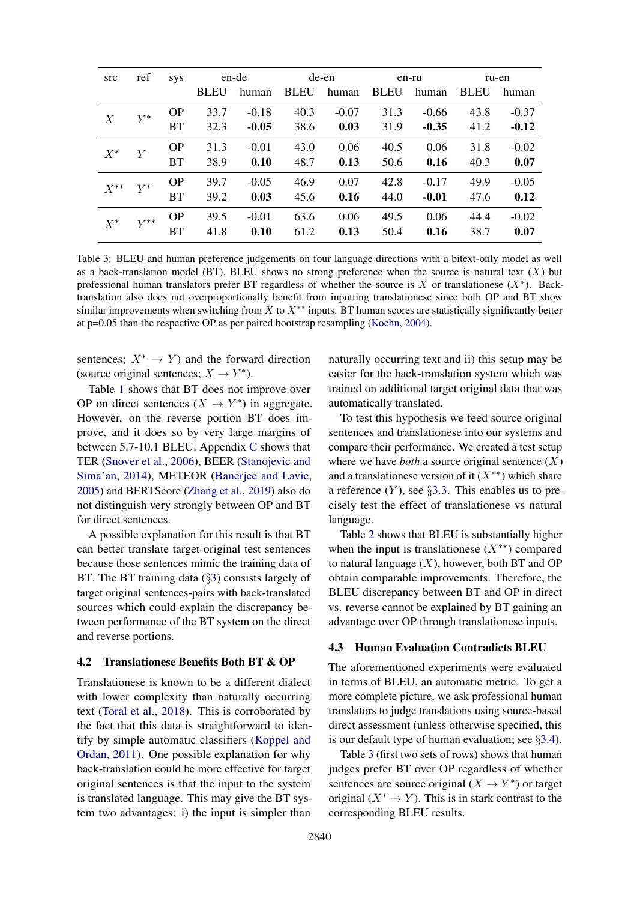<span id="page-4-1"></span>

| src              | ref      | <b>SVS</b> |             | en-de   | de-en       |         | en-ru       |         | ru-en       |         |
|------------------|----------|------------|-------------|---------|-------------|---------|-------------|---------|-------------|---------|
|                  |          |            | <b>BLEU</b> | human   | <b>BLEU</b> | human   | <b>BLEU</b> | human   | <b>BLEU</b> | human   |
| $\boldsymbol{X}$ | $Y^*$    | <b>OP</b>  | 33.7        | $-0.18$ | 40.3        | $-0.07$ | 31.3        | $-0.66$ | 43.8        | $-0.37$ |
|                  |          | <b>BT</b>  | 32.3        | $-0.05$ | 38.6        | 0.03    | 31.9        | $-0.35$ | 41.2        | $-0.12$ |
| $X^*$            | Y        | <b>OP</b>  | 31.3        | $-0.01$ | 43.0        | 0.06    | 40.5        | 0.06    | 31.8        | $-0.02$ |
|                  |          | <b>BT</b>  | 38.9        | 0.10    | 48.7        | 0.13    | 50.6        | 0.16    | 40.3        | 0.07    |
| $X^{**}$         | $Y^*$    | <b>OP</b>  | 39.7        | $-0.05$ | 46.9        | 0.07    | 42.8        | $-0.17$ | 49.9        | $-0.05$ |
|                  |          | <b>BT</b>  | 39.2        | 0.03    | 45.6        | 0.16    | 44.0        | $-0.01$ | 47.6        | 0.12    |
| $X^*$            | $Y^{**}$ | <b>OP</b>  | 39.5        | $-0.01$ | 63.6        | 0.06    | 49.5        | 0.06    | 44.4        | $-0.02$ |
|                  |          | <b>BT</b>  | 41.8        | 0.10    | 61.2        | 0.13    | 50.4        | 0.16    | 38.7        | 0.07    |

Table 3: BLEU and human preference judgements on four language directions with a bitext-only model as well as a back-translation model (BT). BLEU shows no strong preference when the source is natural text  $(X)$  but professional human translators prefer BT regardless of whether the source is X or translationese  $(X^*)$ . Backtranslation also does not overproportionally benefit from inputting translationese since both OP and BT show similar improvements when switching from X to  $X^{**}$  inputs. BT human scores are statistically significantly better at p=0.05 than the respective OP as per paired bootstrap resampling [\(Koehn,](#page-7-22) [2004\)](#page-7-22).

sentences;  $X^* \to Y$  and the forward direction (source original sentences;  $X \to Y^*$ ).

Table [1](#page-3-1) shows that BT does not improve over OP on direct sentences  $(X \to Y^*)$  in aggregate. However, on the reverse portion BT does improve, and it does so by very large margins of between 5.7-10.1 BLEU. Appendix [C](#page-10-0) shows that TER [\(Snover et al.,](#page-8-10) [2006\)](#page-8-10), BEER [\(Stanojevic and](#page-8-11) [Sima'an,](#page-8-11) [2014\)](#page-8-11), METEOR [\(Banerjee and Lavie,](#page-7-23) [2005\)](#page-7-23) and BERTScore [\(Zhang et al.,](#page-8-12) [2019\)](#page-8-12) also do not distinguish very strongly between OP and BT for direct sentences.

A possible explanation for this result is that BT can better translate target-original test sentences because those sentences mimic the training data of BT. The BT training data (§[3\)](#page-1-0) consists largely of target original sentences-pairs with back-translated sources which could explain the discrepancy between performance of the BT system on the direct and reverse portions.

### <span id="page-4-0"></span>4.2 Translationese Benefits Both BT & OP

Translationese is known to be a different dialect with lower complexity than naturally occurring text [\(Toral et al.,](#page-8-5) [2018\)](#page-8-5). This is corroborated by the fact that this data is straightforward to identify by simple automatic classifiers [\(Koppel and](#page-7-24) [Ordan,](#page-7-24) [2011\)](#page-7-24). One possible explanation for why back-translation could be more effective for target original sentences is that the input to the system is translated language. This may give the BT system two advantages: i) the input is simpler than

naturally occurring text and ii) this setup may be easier for the back-translation system which was trained on additional target original data that was automatically translated.

To test this hypothesis we feed source original sentences and translationese into our systems and compare their performance. We created a test setup where we have *both* a source original sentence  $(X)$ and a translationese version of it  $(X^{**})$  which share a reference  $(Y)$ , see §[3.3.](#page-2-3) This enables us to precisely test the effect of translationese vs natural language.

Table [2](#page-3-2) shows that BLEU is substantially higher when the input is translationese  $(X^{**})$  compared to natural language  $(X)$ , however, both BT and OP obtain comparable improvements. Therefore, the BLEU discrepancy between BT and OP in direct vs. reverse cannot be explained by BT gaining an advantage over OP through translationese inputs.

#### 4.3 Human Evaluation Contradicts BLEU

The aforementioned experiments were evaluated in terms of BLEU, an automatic metric. To get a more complete picture, we ask professional human translators to judge translations using source-based direct assessment (unless otherwise specified, this is our default type of human evaluation; see  $\S 3.4$ ).

Table [3](#page-4-1) (first two sets of rows) shows that human judges prefer BT over OP regardless of whether sentences are source original  $(X \to Y^*)$  or target original  $(X^* \to Y)$ . This is in stark contrast to the corresponding BLEU results.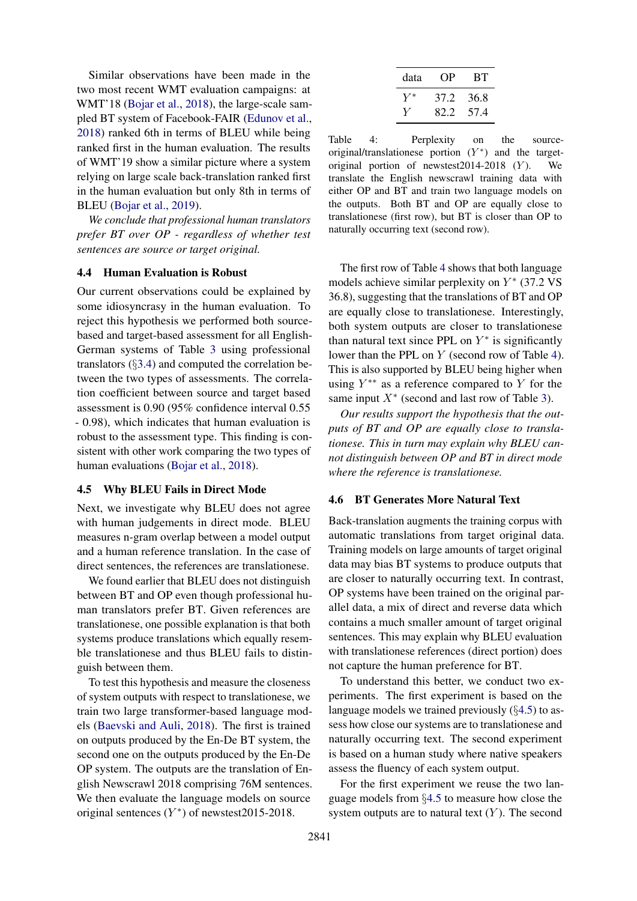Similar observations have been made in the two most recent WMT evaluation campaigns: at WMT'18 [\(Bojar et al.,](#page-7-4) [2018\)](#page-7-4), the large-scale sampled BT system of Facebook-FAIR [\(Edunov et al.,](#page-7-5) [2018\)](#page-7-5) ranked 6th in terms of BLEU while being ranked first in the human evaluation. The results of WMT'19 show a similar picture where a system relying on large scale back-translation ranked first in the human evaluation but only 8th in terms of BLEU [\(Bojar et al.,](#page-7-11) [2019\)](#page-7-11).

*We conclude that professional human translators prefer BT over OP - regardless of whether test sentences are source or target original.*

### 4.4 Human Evaluation is Robust

Our current observations could be explained by some idiosyncrasy in the human evaluation. To reject this hypothesis we performed both sourcebased and target-based assessment for all English-German systems of Table [3](#page-4-1) using professional translators (§[3.4\)](#page-3-3) and computed the correlation between the two types of assessments. The correlation coefficient between source and target based assessment is 0.90 (95% confidence interval 0.55 - 0.98), which indicates that human evaluation is robust to the assessment type. This finding is consistent with other work comparing the two types of human evaluations [\(Bojar et al.,](#page-7-4) [2018\)](#page-7-4).

### <span id="page-5-1"></span>4.5 Why BLEU Fails in Direct Mode

Next, we investigate why BLEU does not agree with human judgements in direct mode. BLEU measures n-gram overlap between a model output and a human reference translation. In the case of direct sentences, the references are translationese.

We found earlier that BLEU does not distinguish between BT and OP even though professional human translators prefer BT. Given references are translationese, one possible explanation is that both systems produce translations which equally resemble translationese and thus BLEU fails to distinguish between them.

To test this hypothesis and measure the closeness of system outputs with respect to translationese, we train two large transformer-based language models [\(Baevski and Auli,](#page-7-25) [2018\)](#page-7-25). The first is trained on outputs produced by the En-De BT system, the second one on the outputs produced by the En-De OP system. The outputs are the translation of English Newscrawl 2018 comprising 76M sentences. We then evaluate the language models on source original sentences  $(Y^*)$  of newstest2015-2018.

<span id="page-5-0"></span>

| data  | OP)  | -RT  |
|-------|------|------|
| $Y^*$ | 37.2 | 36.8 |
|       | 82.2 | 57.4 |

Table 4: Perplexity on the sourceoriginal/translationese portion  $(Y^*)$  and the targetoriginal portion of newstest2014-2018  $(Y)$ . We translate the English newscrawl training data with either OP and BT and train two language models on the outputs. Both BT and OP are equally close to translationese (first row), but BT is closer than OP to naturally occurring text (second row).

The first row of Table [4](#page-5-0) shows that both language models achieve similar perplexity on  $Y^*$  (37.2 VS 36.8), suggesting that the translations of BT and OP are equally close to translationese. Interestingly, both system outputs are closer to translationese than natural text since PPL on  $Y^*$  is significantly lower than the PPL on Y (second row of Table [4\)](#page-5-0). This is also supported by BLEU being higher when using  $Y^{**}$  as a reference compared to Y for the same input  $X^*$  (second and last row of Table [3\)](#page-4-1).

*Our results support the hypothesis that the outputs of BT and OP are equally close to translationese. This in turn may explain why BLEU cannot distinguish between OP and BT in direct mode where the reference is translationese.*

### <span id="page-5-2"></span>4.6 BT Generates More Natural Text

Back-translation augments the training corpus with automatic translations from target original data. Training models on large amounts of target original data may bias BT systems to produce outputs that are closer to naturally occurring text. In contrast, OP systems have been trained on the original parallel data, a mix of direct and reverse data which contains a much smaller amount of target original sentences. This may explain why BLEU evaluation with translationese references (direct portion) does not capture the human preference for BT.

To understand this better, we conduct two experiments. The first experiment is based on the language models we trained previously (§[4.5\)](#page-5-1) to assess how close our systems are to translationese and naturally occurring text. The second experiment is based on a human study where native speakers assess the fluency of each system output.

For the first experiment we reuse the two language models from §[4.5](#page-5-1) to measure how close the system outputs are to natural text  $(Y)$ . The second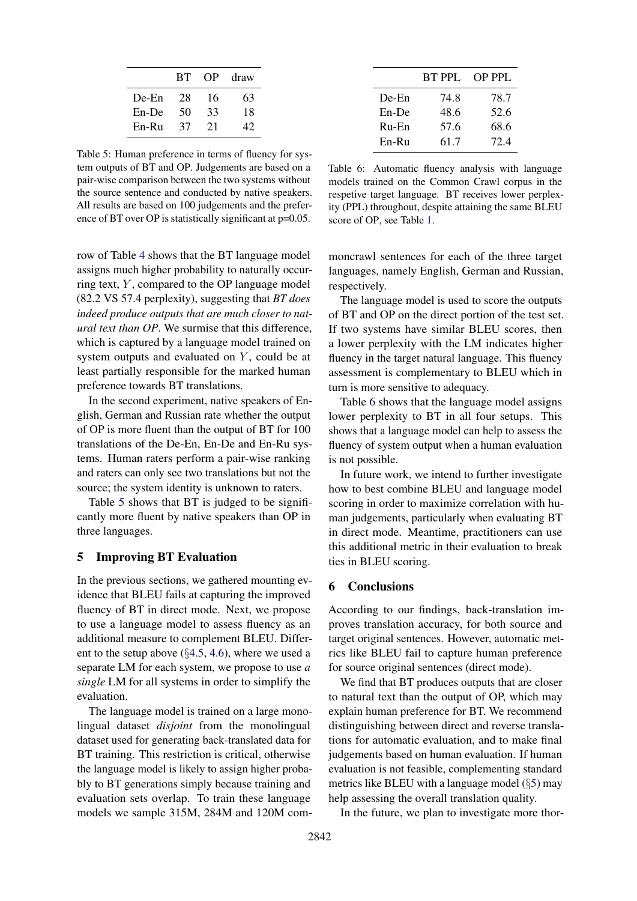<span id="page-6-0"></span>

|          | <b>BT</b> | OP | draw |
|----------|-----------|----|------|
| $De-En$  | 28        | 16 | 63   |
| $En$ -De | 50        | 33 | 18   |
| En-Ru    | 37        | 21 | 47   |

Table 5: Human preference in terms of fluency for system outputs of BT and OP. Judgements are based on a pair-wise comparison between the two systems without the source sentence and conducted by native speakers. All results are based on 100 judgements and the preference of BT over OP is statistically significant at p=0.05.

row of Table [4](#page-5-0) shows that the BT language model assigns much higher probability to naturally occurring text,  $Y$ , compared to the OP language model (82.2 VS 57.4 perplexity), suggesting that *BT does indeed produce outputs that are much closer to natural text than OP*. We surmise that this difference, which is captured by a language model trained on system outputs and evaluated on  $Y$ , could be at least partially responsible for the marked human preference towards BT translations.

In the second experiment, native speakers of English, German and Russian rate whether the output of OP is more fluent than the output of BT for 100 translations of the De-En, En-De and En-Ru systems. Human raters perform a pair-wise ranking and raters can only see two translations but not the source; the system identity is unknown to raters.

Table [5](#page-6-0) shows that BT is judged to be significantly more fluent by native speakers than OP in three languages.

### <span id="page-6-2"></span>5 Improving BT Evaluation

In the previous sections, we gathered mounting evidence that BLEU fails at capturing the improved fluency of BT in direct mode. Next, we propose to use a language model to assess fluency as an additional measure to complement BLEU. Different to the setup above (§[4.5,](#page-5-1) [4.6\)](#page-5-2), where we used a separate LM for each system, we propose to use *a single* LM for all systems in order to simplify the evaluation.

The language model is trained on a large monolingual dataset *disjoint* from the monolingual dataset used for generating back-translated data for BT training. This restriction is critical, otherwise the language model is likely to assign higher probably to BT generations simply because training and evaluation sets overlap. To train these language models we sample 315M, 284M and 120M com-

<span id="page-6-1"></span>

|          | BT PPL | OP PPL |
|----------|--------|--------|
| De-En    | 74.8   | 78.7   |
| $En$ -De | 48.6   | 52.6   |
| Ru-En    | 57.6   | 68.6   |
| En-Ru    | 61.7   | 72.4   |

Table 6: Automatic fluency analysis with language models trained on the Common Crawl corpus in the respetive target language. BT receives lower perplexity (PPL) throughout, despite attaining the same BLEU score of OP, see Table [1.](#page-3-1)

moncrawl sentences for each of the three target languages, namely English, German and Russian, respectively.

The language model is used to score the outputs of BT and OP on the direct portion of the test set. If two systems have similar BLEU scores, then a lower perplexity with the LM indicates higher fluency in the target natural language. This fluency assessment is complementary to BLEU which in turn is more sensitive to adequacy.

Table [6](#page-6-1) shows that the language model assigns lower perplexity to BT in all four setups. This shows that a language model can help to assess the fluency of system output when a human evaluation is not possible.

In future work, we intend to further investigate how to best combine BLEU and language model scoring in order to maximize correlation with human judgements, particularly when evaluating BT in direct mode. Meantime, practitioners can use this additional metric in their evaluation to break ties in BLEU scoring.

### 6 Conclusions

According to our findings, back-translation improves translation accuracy, for both source and target original sentences. However, automatic metrics like BLEU fail to capture human preference for source original sentences (direct mode).

We find that BT produces outputs that are closer to natural text than the output of OP, which may explain human preference for BT. We recommend distinguishing between direct and reverse translations for automatic evaluation, and to make final judgements based on human evaluation. If human evaluation is not feasible, complementing standard metrics like BLEU with a language model (§[5\)](#page-6-2) may help assessing the overall translation quality.

In the future, we plan to investigate more thor-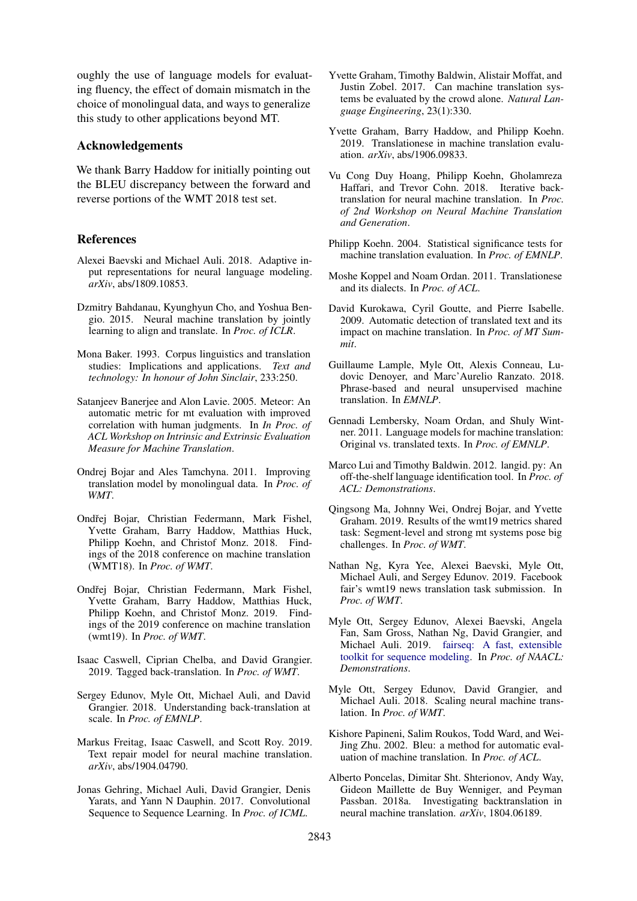oughly the use of language models for evaluating fluency, the effect of domain mismatch in the choice of monolingual data, and ways to generalize this study to other applications beyond MT.

### Acknowledgements

We thank Barry Haddow for initially pointing out the BLEU discrepancy between the forward and reverse portions of the WMT 2018 test set.

### References

- <span id="page-7-25"></span>Alexei Baevski and Michael Auli. 2018. Adaptive input representations for neural language modeling. *arXiv*, abs/1809.10853.
- <span id="page-7-2"></span>Dzmitry Bahdanau, Kyunghyun Cho, and Yoshua Bengio. 2015. Neural machine translation by jointly learning to align and translate. In *Proc. of ICLR*.
- <span id="page-7-7"></span>Mona Baker. 1993. Corpus linguistics and translation studies: Implications and applications. *Text and technology: In honour of John Sinclair*, 233:250.
- <span id="page-7-23"></span>Satanjeev Banerjee and Alon Lavie. 2005. Meteor: An automatic metric for mt evaluation with improved correlation with human judgments. In *In Proc. of ACL Workshop on Intrinsic and Extrinsic Evaluation Measure for Machine Translation*.
- <span id="page-7-0"></span>Ondrej Bojar and Ales Tamchyna. 2011. Improving translation model by monolingual data. In *Proc. of WMT*.
- <span id="page-7-4"></span>Ondřej Bojar, Christian Federmann, Mark Fishel, Yvette Graham, Barry Haddow, Matthias Huck, Philipp Koehn, and Christof Monz. 2018. Findings of the 2018 conference on machine translation (WMT18). In *Proc. of WMT*.
- <span id="page-7-11"></span>Ondřej Bojar, Christian Federmann, Mark Fishel, Yvette Graham, Barry Haddow, Matthias Huck, Philipp Koehn, and Christof Monz. 2019. Findings of the 2019 conference on machine translation (wmt19). In *Proc. of WMT*.
- <span id="page-7-14"></span>Isaac Caswell, Ciprian Chelba, and David Grangier. 2019. Tagged back-translation. In *Proc. of WMT*.
- <span id="page-7-5"></span>Sergey Edunov, Myle Ott, Michael Auli, and David Grangier. 2018. Understanding back-translation at scale. In *Proc. of EMNLP*.
- <span id="page-7-10"></span>Markus Freitag, Isaac Caswell, and Scott Roy. 2019. Text repair model for neural machine translation. *arXiv*, abs/1904.04790.
- <span id="page-7-3"></span>Jonas Gehring, Michael Auli, David Grangier, Denis Yarats, and Yann N Dauphin. 2017. Convolutional Sequence to Sequence Learning. In *Proc. of ICML*.
- <span id="page-7-21"></span>Yvette Graham, Timothy Baldwin, Alistair Moffat, and Justin Zobel. 2017. Can machine translation systems be evaluated by the crowd alone. *Natural Language Engineering*, 23(1):330.
- <span id="page-7-8"></span>Yvette Graham, Barry Haddow, and Philipp Koehn. 2019. Translationese in machine translation evaluation. *arXiv*, abs/1906.09833.
- <span id="page-7-16"></span>Vu Cong Duy Hoang, Philipp Koehn, Gholamreza Haffari, and Trevor Cohn. 2018. Iterative backtranslation for neural machine translation. In *Proc. of 2nd Workshop on Neural Machine Translation and Generation*.
- <span id="page-7-22"></span>Philipp Koehn. 2004. Statistical significance tests for machine translation evaluation. In *Proc. of EMNLP*.
- <span id="page-7-24"></span>Moshe Koppel and Noam Ordan. 2011. Translationese and its dialects. In *Proc. of ACL*.
- <span id="page-7-17"></span>David Kurokawa, Cyril Goutte, and Pierre Isabelle. 2009. Automatic detection of translated text and its impact on machine translation. In *Proc. of MT Summit*.
- <span id="page-7-15"></span>Guillaume Lample, Myle Ott, Alexis Conneau, Ludovic Denoyer, and Marc'Aurelio Ranzato. 2018. Phrase-based and neural unsupervised machine translation. In *EMNLP*.
- <span id="page-7-18"></span>Gennadi Lembersky, Noam Ordan, and Shuly Wintner. 2011. Language models for machine translation: Original vs. translated texts. In *Proc. of EMNLP*.
- <span id="page-7-19"></span>Marco Lui and Timothy Baldwin. 2012. langid. py: An off-the-shelf language identification tool. In *Proc. of ACL: Demonstrations*.
- <span id="page-7-12"></span>Qingsong Ma, Johnny Wei, Ondrej Bojar, and Yvette Graham. 2019. Results of the wmt19 metrics shared task: Segment-level and strong mt systems pose big challenges. In *Proc. of WMT*.
- <span id="page-7-6"></span>Nathan Ng, Kyra Yee, Alexei Baevski, Myle Ott, Michael Auli, and Sergey Edunov. 2019. Facebook fair's wmt19 news translation task submission. In *Proc. of WMT*.
- <span id="page-7-20"></span>Myle Ott, Sergey Edunov, Alexei Baevski, Angela Fan, Sam Gross, Nathan Ng, David Grangier, and Michael Auli. 2019. [fairseq: A fast, extensible](https://doi.org/10.18653/v1/N19-4009) [toolkit for sequence modeling.](https://doi.org/10.18653/v1/N19-4009) In *Proc. of NAACL: Demonstrations*.
- <span id="page-7-13"></span>Myle Ott, Sergey Edunov, David Grangier, and Michael Auli. 2018. Scaling neural machine translation. In *Proc. of WMT*.
- <span id="page-7-9"></span>Kishore Papineni, Salim Roukos, Todd Ward, and Wei-Jing Zhu. 2002. Bleu: a method for automatic evaluation of machine translation. In *Proc. of ACL*.
- <span id="page-7-1"></span>Alberto Poncelas, Dimitar Sht. Shterionov, Andy Way, Gideon Maillette de Buy Wenniger, and Peyman Passban. 2018a. Investigating backtranslation in neural machine translation. *arXiv*, 1804.06189.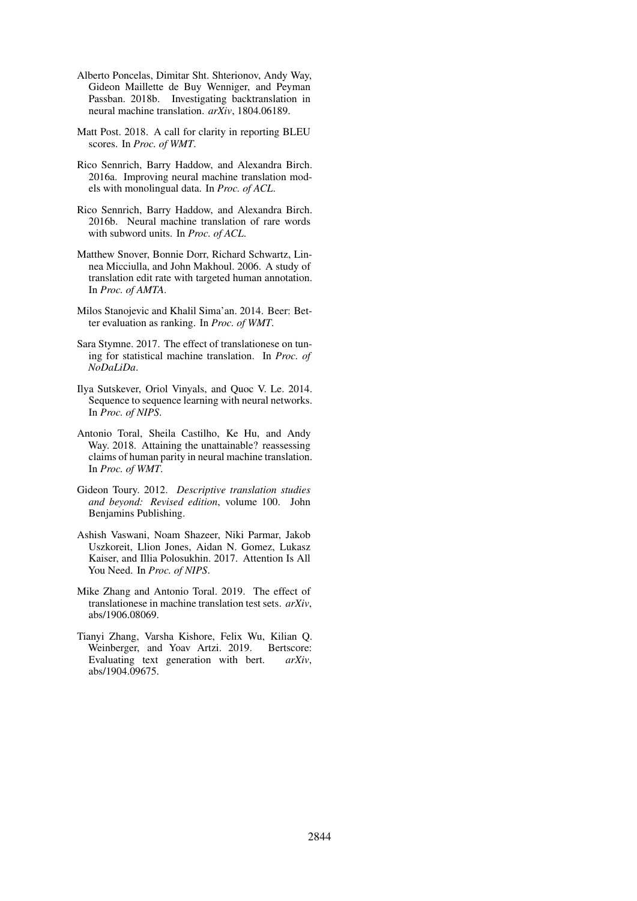- <span id="page-8-6"></span>Alberto Poncelas, Dimitar Sht. Shterionov, Andy Way, Gideon Maillette de Buy Wenniger, and Peyman Passban. 2018b. Investigating backtranslation in neural machine translation. *arXiv*, 1804.06189.
- <span id="page-8-9"></span>Matt Post. 2018. A call for clarity in reporting BLEU scores. In *Proc. of WMT*.
- <span id="page-8-0"></span>Rico Sennrich, Barry Haddow, and Alexandra Birch. 2016a. Improving neural machine translation models with monolingual data. In *Proc. of ACL*.
- <span id="page-8-8"></span>Rico Sennrich, Barry Haddow, and Alexandra Birch. 2016b. Neural machine translation of rare words with subword units. In *Proc. of ACL*.
- <span id="page-8-10"></span>Matthew Snover, Bonnie Dorr, Richard Schwartz, Linnea Micciulla, and John Makhoul. 2006. A study of translation edit rate with targeted human annotation. In *Proc. of AMTA*.
- <span id="page-8-11"></span>Milos Stanojevic and Khalil Sima'an. 2014. Beer: Better evaluation as ranking. In *Proc. of WMT*.
- <span id="page-8-7"></span>Sara Stymne. 2017. The effect of translationese on tuning for statistical machine translation. In *Proc. of NoDaLiDa*.
- <span id="page-8-1"></span>Ilya Sutskever, Oriol Vinyals, and Quoc V. Le. 2014. Sequence to sequence learning with neural networks. In *Proc. of NIPS*.
- <span id="page-8-5"></span>Antonio Toral, Sheila Castilho, Ke Hu, and Andy Way. 2018. Attaining the unattainable? reassessing claims of human parity in neural machine translation. In *Proc. of WMT*.
- <span id="page-8-4"></span>Gideon Toury. 2012. *Descriptive translation studies and beyond: Revised edition*, volume 100. John Benjamins Publishing.
- <span id="page-8-2"></span>Ashish Vaswani, Noam Shazeer, Niki Parmar, Jakob Uszkoreit, Llion Jones, Aidan N. Gomez, Lukasz Kaiser, and Illia Polosukhin. 2017. Attention Is All You Need. In *Proc. of NIPS*.
- <span id="page-8-3"></span>Mike Zhang and Antonio Toral. 2019. The effect of translationese in machine translation test sets. *arXiv*, abs/1906.08069.
- <span id="page-8-12"></span>Tianyi Zhang, Varsha Kishore, Felix Wu, Kilian Q. Weinberger, and Yoav Artzi. 2019. Bertscore: Evaluating text generation with bert. *arXiv*, abs/1904.09675.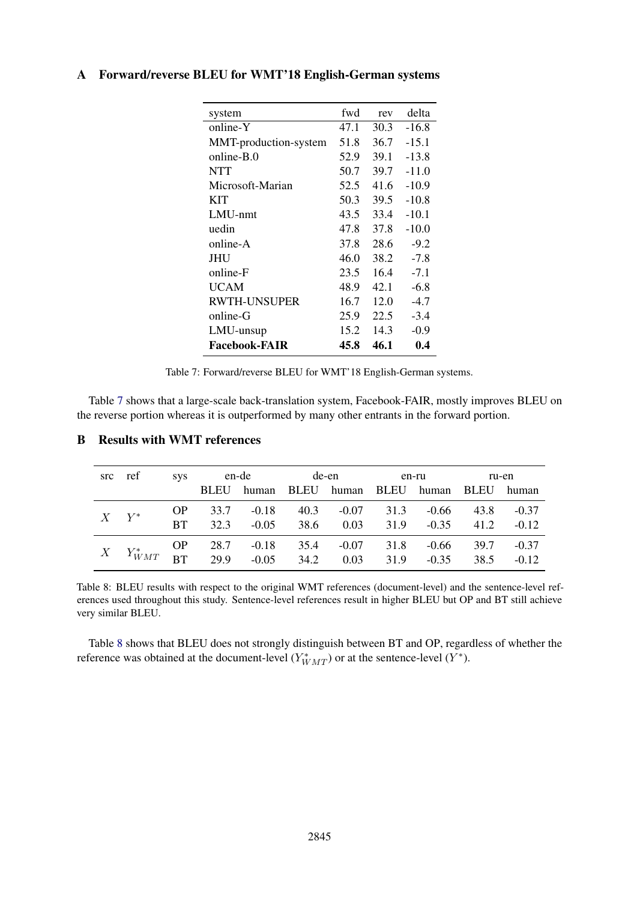| fwd  | rev  | delta   |
|------|------|---------|
| 47.1 | 30.3 | $-16.8$ |
| 51.8 | 36.7 | $-15.1$ |
| 52.9 | 39.1 | $-13.8$ |
| 50.7 |      | $-11.0$ |
| 52.5 | 41.6 | $-10.9$ |
| 50.3 | 39.5 | $-10.8$ |
| 43.5 | 33.4 | $-10.1$ |
| 47.8 | 37.8 | $-10.0$ |
| 37.8 | 28.6 | $-9.2$  |
| 46.0 | 38.2 | $-7.8$  |
| 23.5 | 16.4 | $-7.1$  |
| 48.9 | 42.1 | $-6.8$  |
| 16.7 | 12.0 | $-4.7$  |
| 25.9 | 22.5 | $-3.4$  |
| 15.2 | 14.3 | $-0.9$  |
| 45.8 | 46.1 | 0.4     |
|      |      | 39.7    |

## <span id="page-9-1"></span><span id="page-9-0"></span>A Forward/reverse BLEU for WMT'18 English-German systems

Table 7: Forward/reverse BLEU for WMT'18 English-German systems.

Table [7](#page-9-1) shows that a large-scale back-translation system, Facebook-FAIR, mostly improves BLEU on the reverse portion whereas it is outperformed by many other entrants in the forward portion.

<span id="page-9-3"></span>

|           |                                                                     |                   | src ref sys en-de de-en |  |  |                                                                         | en-ru |                       | ru-en        |                    |
|-----------|---------------------------------------------------------------------|-------------------|-------------------------|--|--|-------------------------------------------------------------------------|-------|-----------------------|--------------|--------------------|
|           |                                                                     |                   | <b>BLEU</b>             |  |  | human BLEU human BLEU human BLEU human                                  |       |                       |              |                    |
| $X$ $Y^*$ |                                                                     | OP D<br><b>BT</b> | 32.3                    |  |  | 33.7 -0.18 40.3 -0.07 31.3 -0.66<br>$-0.05$ 38.6 0.03 31.9 $-0.35$ 41.2 |       |                       | 43.8         | $-0.37$<br>$-0.12$ |
|           | $X$ $Y^*_{WMT}$ BT 29.9 -0.18 35.4 -0.07<br>BT 29.9 -0.05 34.2 0.03 |                   |                         |  |  |                                                                         | 31.8  | -0.66<br>$31.9 -0.35$ | 39.7<br>38.5 | $-0.37$<br>$-0.12$ |

## <span id="page-9-2"></span>B Results with WMT references

Table 8: BLEU results with respect to the original WMT references (document-level) and the sentence-level references used throughout this study. Sentence-level references result in higher BLEU but OP and BT still achieve very similar BLEU.

Table [8](#page-9-3) shows that BLEU does not strongly distinguish between BT and OP, regardless of whether the reference was obtained at the document-level  $(Y^*_{WMT})$  or at the sentence-level  $(Y^*)$ .